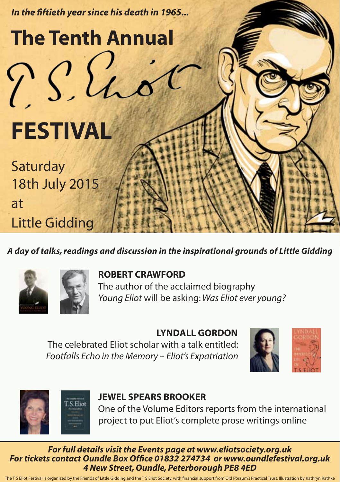

*A day of talks, readings and discussion in the inspirational grounds of Little Gidding*





## **ROBERT CRAWFORD**

 The author of the acclaimed biography *Young Eliot* will be asking: *Was Eliot ever young?*

## **LYNDALL GORDON**

 The celebrated Eliot scholar with a talk entitled: *Footfalls Echo in the Memory – Eliot's Expatriation*





## **JEWEL SPEARS BROOKER**

 One of the Volume Editors reports from the international project to put Eliot's complete prose writings online

*For full details visit www.littlegidding.org.uk/eliotfestival/ For full details visit the Events page at www.eliotsociety.org.uk For tickets contact Oundle Box Office 01832 274734 or www.oundlefestival.org.uk For tickets contact Oundle Box Office 01832 274734 or www.oundlefestival.org.uk 4 New Street, Oundle, Peterborough PE8 4ED*

*4 New Street, Oundle, Peterborough PE8 4ED* The T S Eliot Festival is organized by the Friends of Little Gidding and the T S Eliot Society, with financial support from Old Possum's Practical Trust. Illustration by Kathryn Rathke